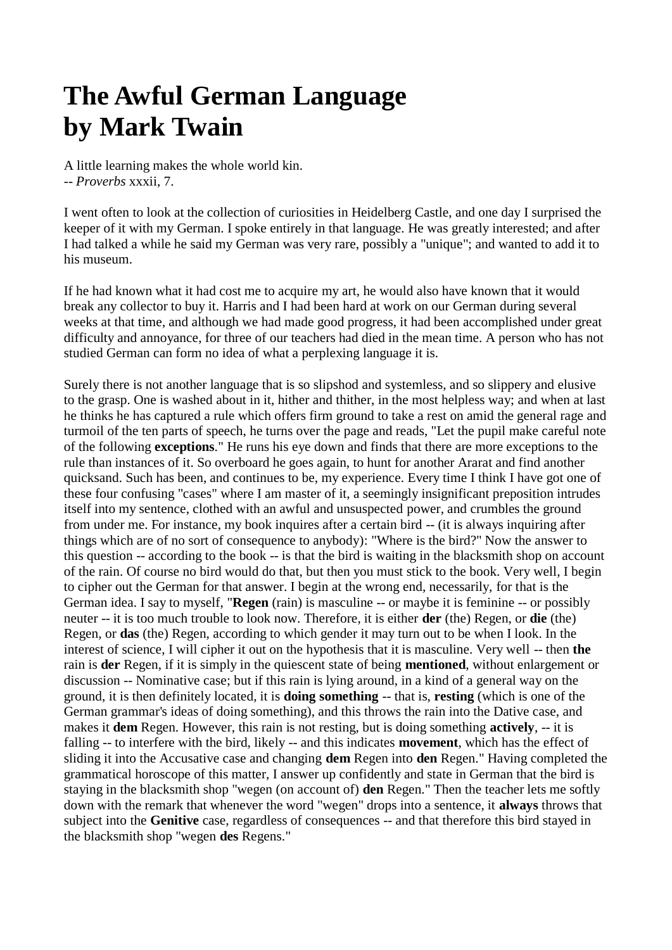# **The Awful German Language by Mark Twain**

A little learning makes the whole world kin. -- *Proverbs* xxxii, 7.

I went often to look at the collection of curiosities in Heidelberg Castle, and one day I surprised the keeper of it with my German. I spoke entirely in that language. He was greatly interested; and after I had talked a while he said my German was very rare, possibly a "unique"; and wanted to add it to his museum.

If he had known what it had cost me to acquire my art, he would also have known that it would break any collector to buy it. Harris and I had been hard at work on our German during several weeks at that time, and although we had made good progress, it had been accomplished under great difficulty and annoyance, for three of our teachers had died in the mean time. A person who has not studied German can form no idea of what a perplexing language it is.

Surely there is not another language that is so slipshod and systemless, and so slippery and elusive to the grasp. One is washed about in it, hither and thither, in the most helpless way; and when at last he thinks he has captured a rule which offers firm ground to take a rest on amid the general rage and turmoil of the ten parts of speech, he turns over the page and reads, "Let the pupil make careful note of the following **exceptions**." He runs his eye down and finds that there are more exceptions to the rule than instances of it. So overboard he goes again, to hunt for another Ararat and find another quicksand. Such has been, and continues to be, my experience. Every time I think I have got one of these four confusing "cases" where I am master of it, a seemingly insignificant preposition intrudes itself into my sentence, clothed with an awful and unsuspected power, and crumbles the ground from under me. For instance, my book inquires after a certain bird -- (it is always inquiring after things which are of no sort of consequence to anybody): "Where is the bird?" Now the answer to this question -- according to the book -- is that the bird is waiting in the blacksmith shop on account of the rain. Of course no bird would do that, but then you must stick to the book. Very well, I begin to cipher out the German for that answer. I begin at the wrong end, necessarily, for that is the German idea. I say to myself, "**Regen** (rain) is masculine -- or maybe it is feminine -- or possibly neuter -- it is too much trouble to look now. Therefore, it is either **der** (the) Regen, or **die** (the) Regen, or **das** (the) Regen, according to which gender it may turn out to be when I look. In the interest of science, I will cipher it out on the hypothesis that it is masculine. Very well -- then **the** rain is **der** Regen, if it is simply in the quiescent state of being **mentioned**, without enlargement or discussion -- Nominative case; but if this rain is lying around, in a kind of a general way on the ground, it is then definitely located, it is **doing something** -- that is, **resting** (which is one of the German grammar's ideas of doing something), and this throws the rain into the Dative case, and makes it **dem** Regen. However, this rain is not resting, but is doing something **actively**, -- it is falling -- to interfere with the bird, likely -- and this indicates **movement**, which has the effect of sliding it into the Accusative case and changing **dem** Regen into **den** Regen." Having completed the grammatical horoscope of this matter, I answer up confidently and state in German that the bird is staying in the blacksmith shop "wegen (on account of) **den** Regen." Then the teacher lets me softly down with the remark that whenever the word "wegen" drops into a sentence, it **always** throws that subject into the **Genitive** case, regardless of consequences -- and that therefore this bird stayed in the blacksmith shop "wegen **des** Regens."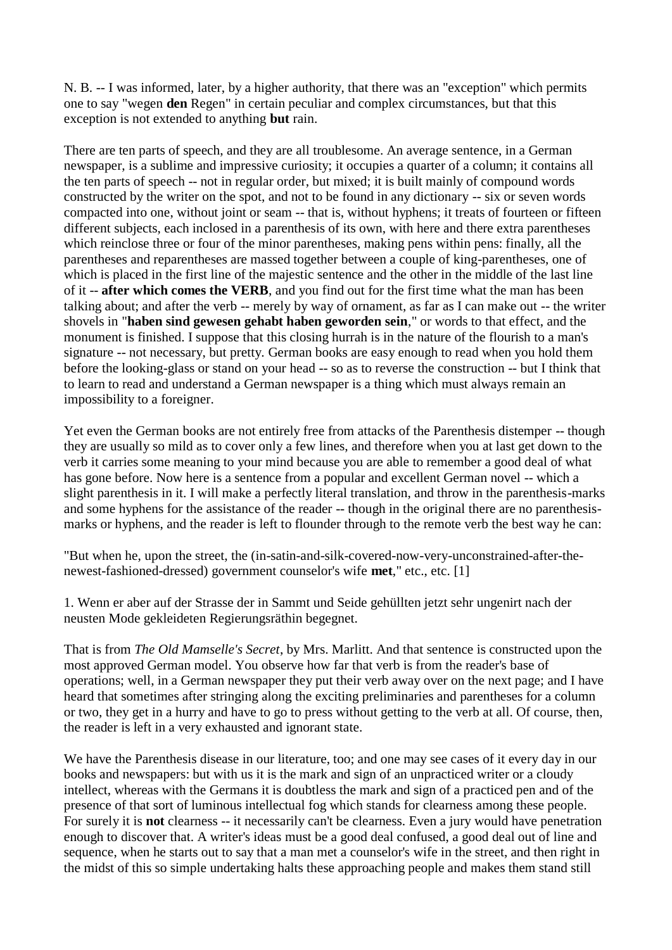N. B. -- I was informed, later, by a higher authority, that there was an "exception" which permits one to say "wegen **den** Regen" in certain peculiar and complex circumstances, but that this exception is not extended to anything **but** rain.

There are ten parts of speech, and they are all troublesome. An average sentence, in a German newspaper, is a sublime and impressive curiosity; it occupies a quarter of a column; it contains all the ten parts of speech -- not in regular order, but mixed; it is built mainly of compound words constructed by the writer on the spot, and not to be found in any dictionary -- six or seven words compacted into one, without joint or seam -- that is, without hyphens; it treats of fourteen or fifteen different subjects, each inclosed in a parenthesis of its own, with here and there extra parentheses which reinclose three or four of the minor parentheses, making pens within pens: finally, all the parentheses and reparentheses are massed together between a couple of king-parentheses, one of which is placed in the first line of the majestic sentence and the other in the middle of the last line of it -- **after which comes the VERB**, and you find out for the first time what the man has been talking about; and after the verb -- merely by way of ornament, as far as I can make out -- the writer shovels in "**haben sind gewesen gehabt haben geworden sein**," or words to that effect, and the monument is finished. I suppose that this closing hurrah is in the nature of the flourish to a man's signature -- not necessary, but pretty. German books are easy enough to read when you hold them before the looking-glass or stand on your head -- so as to reverse the construction -- but I think that to learn to read and understand a German newspaper is a thing which must always remain an impossibility to a foreigner.

Yet even the German books are not entirely free from attacks of the Parenthesis distemper -- though they are usually so mild as to cover only a few lines, and therefore when you at last get down to the verb it carries some meaning to your mind because you are able to remember a good deal of what has gone before. Now here is a sentence from a popular and excellent German novel -- which a slight parenthesis in it. I will make a perfectly literal translation, and throw in the parenthesis-marks and some hyphens for the assistance of the reader -- though in the original there are no parenthesismarks or hyphens, and the reader is left to flounder through to the remote verb the best way he can:

"But when he, upon the street, the (in-satin-and-silk-covered-now-very-unconstrained-after-thenewest-fashioned-dressed) government counselor's wife **met**," etc., etc. [1]

1. Wenn er aber auf der Strasse der in Sammt und Seide gehüllten jetzt sehr ungenirt nach der neusten Mode gekleideten Regierungsräthin begegnet.

That is from *The Old Mamselle's Secret*, by Mrs. Marlitt. And that sentence is constructed upon the most approved German model. You observe how far that verb is from the reader's base of operations; well, in a German newspaper they put their verb away over on the next page; and I have heard that sometimes after stringing along the exciting preliminaries and parentheses for a column or two, they get in a hurry and have to go to press without getting to the verb at all. Of course, then, the reader is left in a very exhausted and ignorant state.

We have the Parenthesis disease in our literature, too; and one may see cases of it every day in our books and newspapers: but with us it is the mark and sign of an unpracticed writer or a cloudy intellect, whereas with the Germans it is doubtless the mark and sign of a practiced pen and of the presence of that sort of luminous intellectual fog which stands for clearness among these people. For surely it is **not** clearness -- it necessarily can't be clearness. Even a jury would have penetration enough to discover that. A writer's ideas must be a good deal confused, a good deal out of line and sequence, when he starts out to say that a man met a counselor's wife in the street, and then right in the midst of this so simple undertaking halts these approaching people and makes them stand still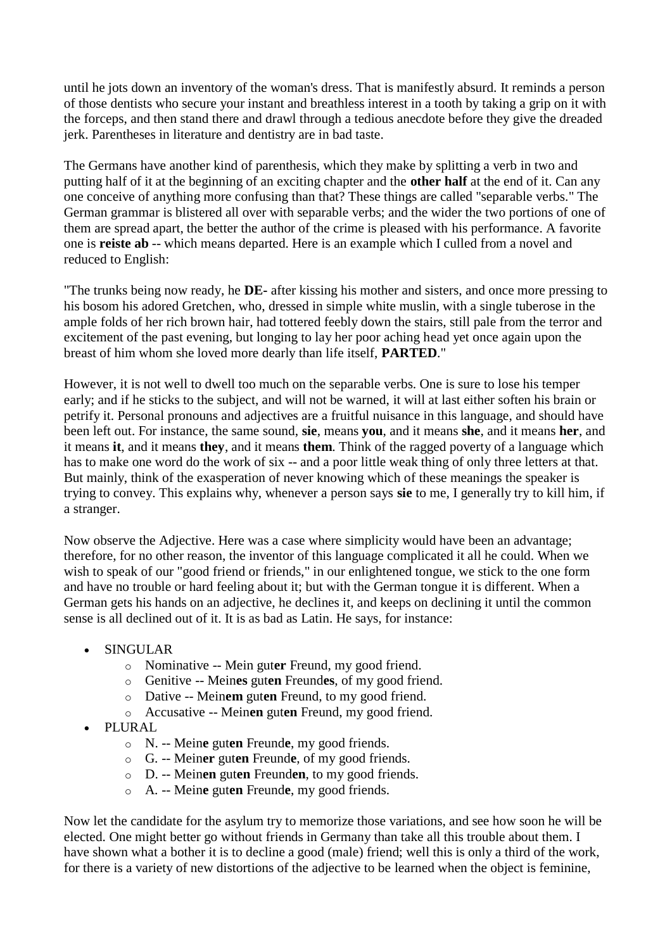until he jots down an inventory of the woman's dress. That is manifestly absurd. It reminds a person of those dentists who secure your instant and breathless interest in a tooth by taking a grip on it with the forceps, and then stand there and drawl through a tedious anecdote before they give the dreaded jerk. Parentheses in literature and dentistry are in bad taste.

The Germans have another kind of parenthesis, which they make by splitting a verb in two and putting half of it at the beginning of an exciting chapter and the **other half** at the end of it. Can any one conceive of anything more confusing than that? These things are called "separable verbs." The German grammar is blistered all over with separable verbs; and the wider the two portions of one of them are spread apart, the better the author of the crime is pleased with his performance. A favorite one is **reiste ab** -- which means departed. Here is an example which I culled from a novel and reduced to English:

"The trunks being now ready, he **DE-** after kissing his mother and sisters, and once more pressing to his bosom his adored Gretchen, who, dressed in simple white muslin, with a single tuberose in the ample folds of her rich brown hair, had tottered feebly down the stairs, still pale from the terror and excitement of the past evening, but longing to lay her poor aching head yet once again upon the breast of him whom she loved more dearly than life itself, **PARTED**."

However, it is not well to dwell too much on the separable verbs. One is sure to lose his temper early; and if he sticks to the subject, and will not be warned, it will at last either soften his brain or petrify it. Personal pronouns and adjectives are a fruitful nuisance in this language, and should have been left out. For instance, the same sound, **sie**, means **you**, and it means **she**, and it means **her**, and it means **it**, and it means **they**, and it means **them**. Think of the ragged poverty of a language which has to make one word do the work of six -- and a poor little weak thing of only three letters at that. But mainly, think of the exasperation of never knowing which of these meanings the speaker is trying to convey. This explains why, whenever a person says **sie** to me, I generally try to kill him, if a stranger.

Now observe the Adjective. Here was a case where simplicity would have been an advantage; therefore, for no other reason, the inventor of this language complicated it all he could. When we wish to speak of our "good friend or friends," in our enlightened tongue, we stick to the one form and have no trouble or hard feeling about it; but with the German tongue it is different. When a German gets his hands on an adjective, he declines it, and keeps on declining it until the common sense is all declined out of it. It is as bad as Latin. He says, for instance:

- SINGULAR
	- o Nominative -- Mein gut**er** Freund, my good friend.
	- o Genitive -- Mein**es** gut**en** Freund**es**, of my good friend.
	- o Dative -- Mein**em** gut**en** Freund, to my good friend.
	- o Accusative -- Mein**en** gut**en** Freund, my good friend.
- PLURAL
	- o N. -- Mein**e** gut**en** Freund**e**, my good friends.
	- o G. -- Mein**er** gut**en** Freund**e**, of my good friends.
	- o D. -- Mein**en** gut**en** Freund**en**, to my good friends.
	- o A. -- Mein**e** gut**en** Freund**e**, my good friends.

Now let the candidate for the asylum try to memorize those variations, and see how soon he will be elected. One might better go without friends in Germany than take all this trouble about them. I have shown what a bother it is to decline a good (male) friend; well this is only a third of the work, for there is a variety of new distortions of the adjective to be learned when the object is feminine,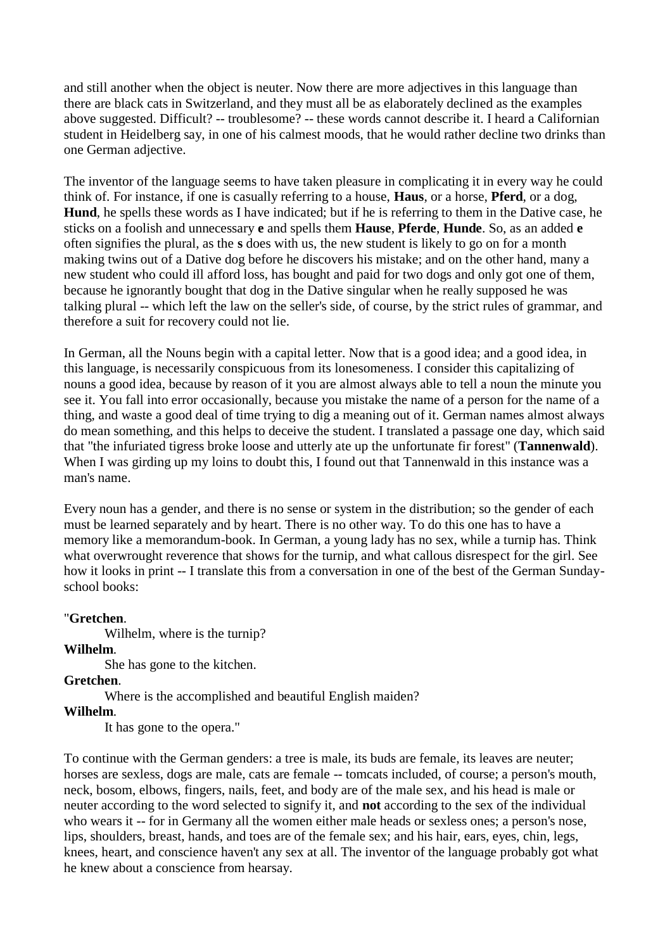and still another when the object is neuter. Now there are more adjectives in this language than there are black cats in Switzerland, and they must all be as elaborately declined as the examples above suggested. Difficult? -- troublesome? -- these words cannot describe it. I heard a Californian student in Heidelberg say, in one of his calmest moods, that he would rather decline two drinks than one German adjective.

The inventor of the language seems to have taken pleasure in complicating it in every way he could think of. For instance, if one is casually referring to a house, **Haus**, or a horse, **Pferd**, or a dog, **Hund**, he spells these words as I have indicated; but if he is referring to them in the Dative case, he sticks on a foolish and unnecessary **e** and spells them **Hause**, **Pferde**, **Hunde**. So, as an added **e** often signifies the plural, as the **s** does with us, the new student is likely to go on for a month making twins out of a Dative dog before he discovers his mistake; and on the other hand, many a new student who could ill afford loss, has bought and paid for two dogs and only got one of them, because he ignorantly bought that dog in the Dative singular when he really supposed he was talking plural -- which left the law on the seller's side, of course, by the strict rules of grammar, and therefore a suit for recovery could not lie.

In German, all the Nouns begin with a capital letter. Now that is a good idea; and a good idea, in this language, is necessarily conspicuous from its lonesomeness. I consider this capitalizing of nouns a good idea, because by reason of it you are almost always able to tell a noun the minute you see it. You fall into error occasionally, because you mistake the name of a person for the name of a thing, and waste a good deal of time trying to dig a meaning out of it. German names almost always do mean something, and this helps to deceive the student. I translated a passage one day, which said that "the infuriated tigress broke loose and utterly ate up the unfortunate fir forest" (**Tannenwald**). When I was girding up my loins to doubt this, I found out that Tannenwald in this instance was a man's name.

Every noun has a gender, and there is no sense or system in the distribution; so the gender of each must be learned separately and by heart. There is no other way. To do this one has to have a memory like a memorandum-book. In German, a young lady has no sex, while a turnip has. Think what overwrought reverence that shows for the turnip, and what callous disrespect for the girl. See how it looks in print -- I translate this from a conversation in one of the best of the German Sundayschool books:

### "**Gretchen**.

Wilhelm, where is the turnip?

### **Wilhelm**.

She has gone to the kitchen.

### **Gretchen**.

Where is the accomplished and beautiful English maiden?

### **Wilhelm**.

It has gone to the opera."

To continue with the German genders: a tree is male, its buds are female, its leaves are neuter; horses are sexless, dogs are male, cats are female -- tomcats included, of course; a person's mouth, neck, bosom, elbows, fingers, nails, feet, and body are of the male sex, and his head is male or neuter according to the word selected to signify it, and **not** according to the sex of the individual who wears it -- for in Germany all the women either male heads or sexless ones; a person's nose, lips, shoulders, breast, hands, and toes are of the female sex; and his hair, ears, eyes, chin, legs, knees, heart, and conscience haven't any sex at all. The inventor of the language probably got what he knew about a conscience from hearsay.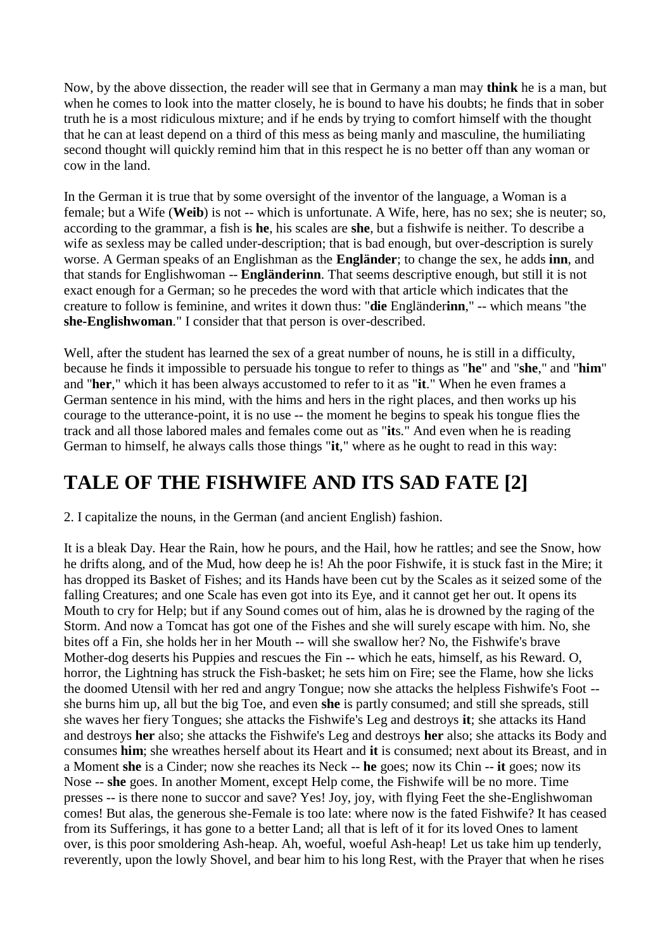Now, by the above dissection, the reader will see that in Germany a man may **think** he is a man, but when he comes to look into the matter closely, he is bound to have his doubts; he finds that in sober truth he is a most ridiculous mixture; and if he ends by trying to comfort himself with the thought that he can at least depend on a third of this mess as being manly and masculine, the humiliating second thought will quickly remind him that in this respect he is no better off than any woman or cow in the land.

In the German it is true that by some oversight of the inventor of the language, a Woman is a female; but a Wife (**Weib**) is not -- which is unfortunate. A Wife, here, has no sex; she is neuter; so, according to the grammar, a fish is **he**, his scales are **she**, but a fishwife is neither. To describe a wife as sexless may be called under-description; that is bad enough, but over-description is surely worse. A German speaks of an Englishman as the **Engländer**; to change the sex, he adds **inn**, and that stands for Englishwoman -- **Engländerinn**. That seems descriptive enough, but still it is not exact enough for a German; so he precedes the word with that article which indicates that the creature to follow is feminine, and writes it down thus: "**die** Engländer**inn**," -- which means "the **she-Englishwoman**." I consider that that person is over-described.

Well, after the student has learned the sex of a great number of nouns, he is still in a difficulty, because he finds it impossible to persuade his tongue to refer to things as "**he**" and "**she**," and "**him**" and "**her**," which it has been always accustomed to refer to it as "**it**." When he even frames a German sentence in his mind, with the hims and hers in the right places, and then works up his courage to the utterance-point, it is no use -- the moment he begins to speak his tongue flies the track and all those labored males and females come out as "**it**s." And even when he is reading German to himself, he always calls those things "**it**," where as he ought to read in this way:

## **TALE OF THE FISHWIFE AND ITS SAD FATE [2]**

2. I capitalize the nouns, in the German (and ancient English) fashion.

It is a bleak Day. Hear the Rain, how he pours, and the Hail, how he rattles; and see the Snow, how he drifts along, and of the Mud, how deep he is! Ah the poor Fishwife, it is stuck fast in the Mire; it has dropped its Basket of Fishes; and its Hands have been cut by the Scales as it seized some of the falling Creatures; and one Scale has even got into its Eye, and it cannot get her out. It opens its Mouth to cry for Help; but if any Sound comes out of him, alas he is drowned by the raging of the Storm. And now a Tomcat has got one of the Fishes and she will surely escape with him. No, she bites off a Fin, she holds her in her Mouth -- will she swallow her? No, the Fishwife's brave Mother-dog deserts his Puppies and rescues the Fin -- which he eats, himself, as his Reward. O, horror, the Lightning has struck the Fish-basket; he sets him on Fire; see the Flame, how she licks the doomed Utensil with her red and angry Tongue; now she attacks the helpless Fishwife's Foot - she burns him up, all but the big Toe, and even **she** is partly consumed; and still she spreads, still she waves her fiery Tongues; she attacks the Fishwife's Leg and destroys **it**; she attacks its Hand and destroys **her** also; she attacks the Fishwife's Leg and destroys **her** also; she attacks its Body and consumes **him**; she wreathes herself about its Heart and **it** is consumed; next about its Breast, and in a Moment **she** is a Cinder; now she reaches its Neck -- **he** goes; now its Chin -- **it** goes; now its Nose -- **she** goes. In another Moment, except Help come, the Fishwife will be no more. Time presses -- is there none to succor and save? Yes! Joy, joy, with flying Feet the she-Englishwoman comes! But alas, the generous she-Female is too late: where now is the fated Fishwife? It has ceased from its Sufferings, it has gone to a better Land; all that is left of it for its loved Ones to lament over, is this poor smoldering Ash-heap. Ah, woeful, woeful Ash-heap! Let us take him up tenderly, reverently, upon the lowly Shovel, and bear him to his long Rest, with the Prayer that when he rises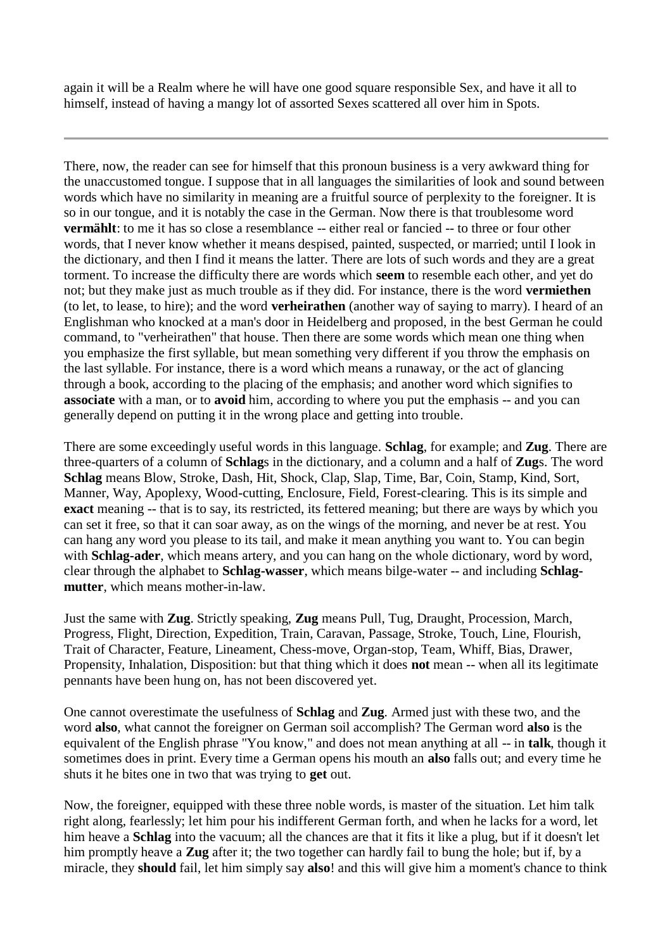again it will be a Realm where he will have one good square responsible Sex, and have it all to himself, instead of having a mangy lot of assorted Sexes scattered all over him in Spots.

There, now, the reader can see for himself that this pronoun business is a very awkward thing for the unaccustomed tongue. I suppose that in all languages the similarities of look and sound between words which have no similarity in meaning are a fruitful source of perplexity to the foreigner. It is so in our tongue, and it is notably the case in the German. Now there is that troublesome word **vermählt**: to me it has so close a resemblance -- either real or fancied -- to three or four other words, that I never know whether it means despised, painted, suspected, or married; until I look in the dictionary, and then I find it means the latter. There are lots of such words and they are a great torment. To increase the difficulty there are words which **seem** to resemble each other, and yet do not; but they make just as much trouble as if they did. For instance, there is the word **vermiethen** (to let, to lease, to hire); and the word **verheirathen** (another way of saying to marry). I heard of an Englishman who knocked at a man's door in Heidelberg and proposed, in the best German he could command, to "verheirathen" that house. Then there are some words which mean one thing when you emphasize the first syllable, but mean something very different if you throw the emphasis on the last syllable. For instance, there is a word which means a runaway, or the act of glancing through a book, according to the placing of the emphasis; and another word which signifies to **associate** with a man, or to **avoid** him, according to where you put the emphasis -- and you can generally depend on putting it in the wrong place and getting into trouble.

There are some exceedingly useful words in this language. **Schlag**, for example; and **Zug**. There are three-quarters of a column of **Schlag**s in the dictionary, and a column and a half of **Zug**s. The word **Schlag** means Blow, Stroke, Dash, Hit, Shock, Clap, Slap, Time, Bar, Coin, Stamp, Kind, Sort, Manner, Way, Apoplexy, Wood-cutting, Enclosure, Field, Forest-clearing. This is its simple and **exact** meaning -- that is to say, its restricted, its fettered meaning; but there are ways by which you can set it free, so that it can soar away, as on the wings of the morning, and never be at rest. You can hang any word you please to its tail, and make it mean anything you want to. You can begin with **Schlag-ader**, which means artery, and you can hang on the whole dictionary, word by word, clear through the alphabet to **Schlag-wasser**, which means bilge-water -- and including **Schlagmutter**, which means mother-in-law.

Just the same with **Zug**. Strictly speaking, **Zug** means Pull, Tug, Draught, Procession, March, Progress, Flight, Direction, Expedition, Train, Caravan, Passage, Stroke, Touch, Line, Flourish, Trait of Character, Feature, Lineament, Chess-move, Organ-stop, Team, Whiff, Bias, Drawer, Propensity, Inhalation, Disposition: but that thing which it does **not** mean -- when all its legitimate pennants have been hung on, has not been discovered yet.

One cannot overestimate the usefulness of **Schlag** and **Zug**. Armed just with these two, and the word **also**, what cannot the foreigner on German soil accomplish? The German word **also** is the equivalent of the English phrase "You know," and does not mean anything at all -- in **talk**, though it sometimes does in print. Every time a German opens his mouth an **also** falls out; and every time he shuts it he bites one in two that was trying to **get** out.

Now, the foreigner, equipped with these three noble words, is master of the situation. Let him talk right along, fearlessly; let him pour his indifferent German forth, and when he lacks for a word, let him heave a **Schlag** into the vacuum; all the chances are that it fits it like a plug, but if it doesn't let him promptly heave a **Zug** after it; the two together can hardly fail to bung the hole; but if, by a miracle, they **should** fail, let him simply say **also**! and this will give him a moment's chance to think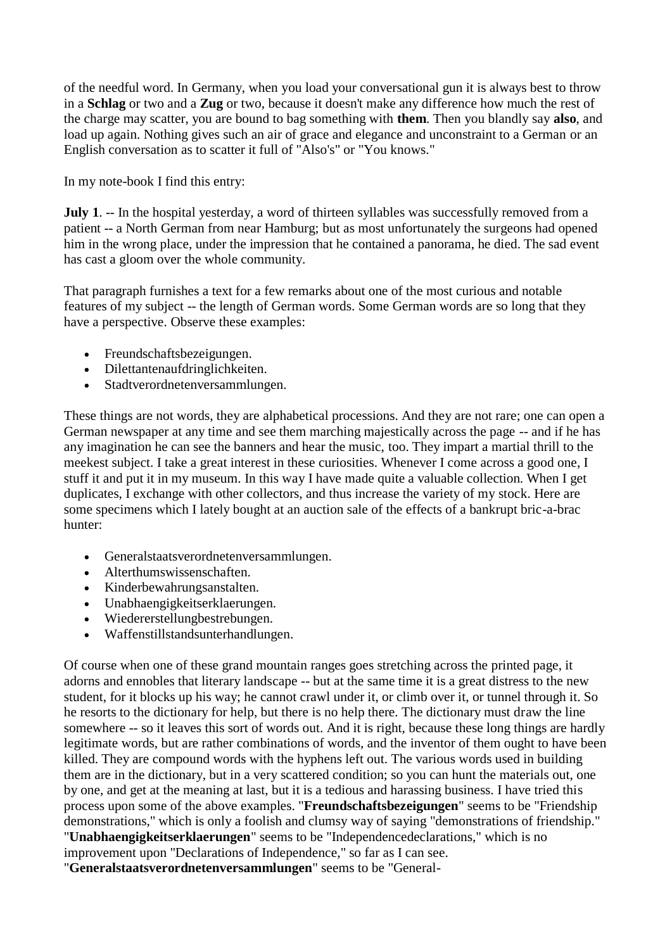of the needful word. In Germany, when you load your conversational gun it is always best to throw in a **Schlag** or two and a **Zug** or two, because it doesn't make any difference how much the rest of the charge may scatter, you are bound to bag something with **them**. Then you blandly say **also**, and load up again. Nothing gives such an air of grace and elegance and unconstraint to a German or an English conversation as to scatter it full of "Also's" or "You knows."

In my note-book I find this entry:

**July 1.** -- In the hospital yesterday, a word of thirteen syllables was successfully removed from a patient -- a North German from near Hamburg; but as most unfortunately the surgeons had opened him in the wrong place, under the impression that he contained a panorama, he died. The sad event has cast a gloom over the whole community.

That paragraph furnishes a text for a few remarks about one of the most curious and notable features of my subject -- the length of German words. Some German words are so long that they have a perspective. Observe these examples:

- Freundschaftsbezeigungen.
- Dilettantenaufdringlichkeiten.
- Stadtverordnetenversammlungen.

These things are not words, they are alphabetical processions. And they are not rare; one can open a German newspaper at any time and see them marching majestically across the page -- and if he has any imagination he can see the banners and hear the music, too. They impart a martial thrill to the meekest subject. I take a great interest in these curiosities. Whenever I come across a good one, I stuff it and put it in my museum. In this way I have made quite a valuable collection. When I get duplicates, I exchange with other collectors, and thus increase the variety of my stock. Here are some specimens which I lately bought at an auction sale of the effects of a bankrupt bric-a-brac hunter:

- Generalstaatsverordnetenversammlungen.
- Alterthumswissenschaften.
- Kinderbewahrungsanstalten.
- Unabhaengigkeitserklaerungen.
- Wiedererstellungbestrebungen.
- Waffenstillstandsunterhandlungen.

Of course when one of these grand mountain ranges goes stretching across the printed page, it adorns and ennobles that literary landscape -- but at the same time it is a great distress to the new student, for it blocks up his way; he cannot crawl under it, or climb over it, or tunnel through it. So he resorts to the dictionary for help, but there is no help there. The dictionary must draw the line somewhere -- so it leaves this sort of words out. And it is right, because these long things are hardly legitimate words, but are rather combinations of words, and the inventor of them ought to have been killed. They are compound words with the hyphens left out. The various words used in building them are in the dictionary, but in a very scattered condition; so you can hunt the materials out, one by one, and get at the meaning at last, but it is a tedious and harassing business. I have tried this process upon some of the above examples. "**Freundschaftsbezeigungen**" seems to be "Friendship demonstrations," which is only a foolish and clumsy way of saying "demonstrations of friendship." "**Unabhaengigkeitserklaerungen**" seems to be "Independencedeclarations," which is no improvement upon "Declarations of Independence," so far as I can see.

"**Generalstaatsverordnetenversammlungen**" seems to be "General-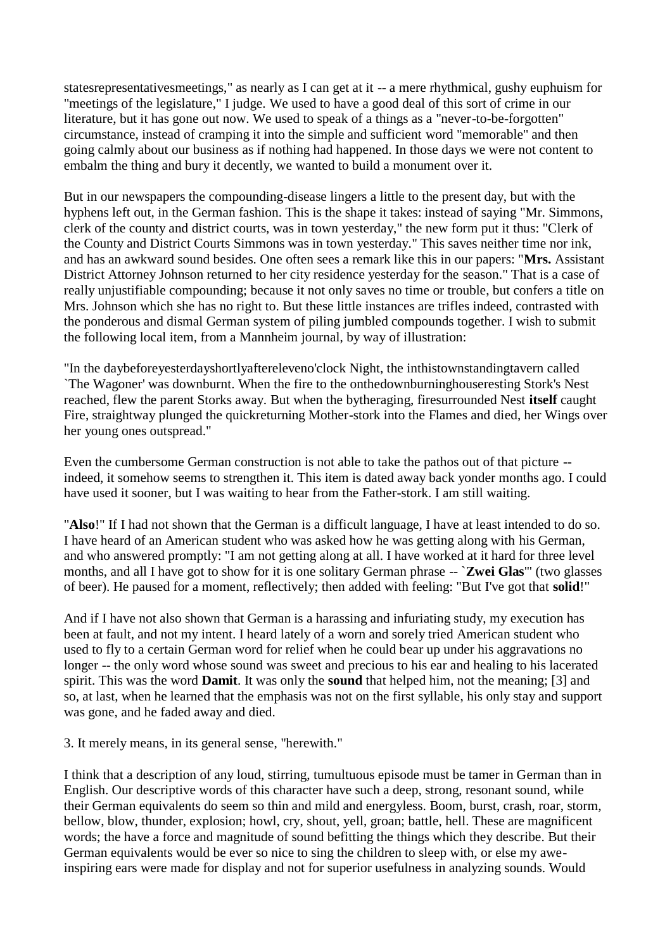statesrepresentativesmeetings," as nearly as I can get at it -- a mere rhythmical, gushy euphuism for "meetings of the legislature," I judge. We used to have a good deal of this sort of crime in our literature, but it has gone out now. We used to speak of a things as a "never-to-be-forgotten" circumstance, instead of cramping it into the simple and sufficient word "memorable" and then going calmly about our business as if nothing had happened. In those days we were not content to embalm the thing and bury it decently, we wanted to build a monument over it.

But in our newspapers the compounding-disease lingers a little to the present day, but with the hyphens left out, in the German fashion. This is the shape it takes: instead of saying "Mr. Simmons, clerk of the county and district courts, was in town yesterday," the new form put it thus: "Clerk of the County and District Courts Simmons was in town yesterday." This saves neither time nor ink, and has an awkward sound besides. One often sees a remark like this in our papers: "**Mrs.** Assistant District Attorney Johnson returned to her city residence yesterday for the season." That is a case of really unjustifiable compounding; because it not only saves no time or trouble, but confers a title on Mrs. Johnson which she has no right to. But these little instances are trifles indeed, contrasted with the ponderous and dismal German system of piling jumbled compounds together. I wish to submit the following local item, from a Mannheim journal, by way of illustration:

"In the daybeforeyesterdayshortlyaftereleveno'clock Night, the inthistownstandingtavern called `The Wagoner' was downburnt. When the fire to the onthedownburninghouseresting Stork's Nest reached, flew the parent Storks away. But when the bytheraging, firesurrounded Nest **itself** caught Fire, straightway plunged the quickreturning Mother-stork into the Flames and died, her Wings over her young ones outspread."

Even the cumbersome German construction is not able to take the pathos out of that picture - indeed, it somehow seems to strengthen it. This item is dated away back yonder months ago. I could have used it sooner, but I was waiting to hear from the Father-stork. I am still waiting.

"**Also**!" If I had not shown that the German is a difficult language, I have at least intended to do so. I have heard of an American student who was asked how he was getting along with his German, and who answered promptly: "I am not getting along at all. I have worked at it hard for three level months, and all I have got to show for it is one solitary German phrase -- `**Zwei Glas**'" (two glasses of beer). He paused for a moment, reflectively; then added with feeling: "But I've got that **solid**!"

And if I have not also shown that German is a harassing and infuriating study, my execution has been at fault, and not my intent. I heard lately of a worn and sorely tried American student who used to fly to a certain German word for relief when he could bear up under his aggravations no longer -- the only word whose sound was sweet and precious to his ear and healing to his lacerated spirit. This was the word **Damit**. It was only the **sound** that helped him, not the meaning; [3] and so, at last, when he learned that the emphasis was not on the first syllable, his only stay and support was gone, and he faded away and died.

3. It merely means, in its general sense, "herewith."

I think that a description of any loud, stirring, tumultuous episode must be tamer in German than in English. Our descriptive words of this character have such a deep, strong, resonant sound, while their German equivalents do seem so thin and mild and energyless. Boom, burst, crash, roar, storm, bellow, blow, thunder, explosion; howl, cry, shout, yell, groan; battle, hell. These are magnificent words; the have a force and magnitude of sound befitting the things which they describe. But their German equivalents would be ever so nice to sing the children to sleep with, or else my aweinspiring ears were made for display and not for superior usefulness in analyzing sounds. Would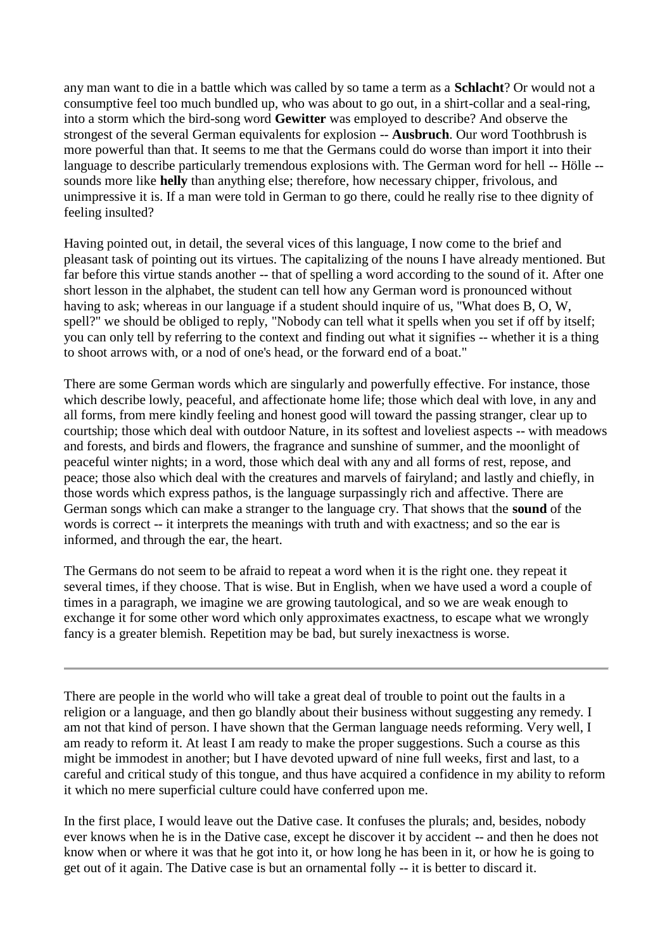any man want to die in a battle which was called by so tame a term as a **Schlacht**? Or would not a consumptive feel too much bundled up, who was about to go out, in a shirt-collar and a seal-ring, into a storm which the bird-song word **Gewitter** was employed to describe? And observe the strongest of the several German equivalents for explosion -- **Ausbruch**. Our word Toothbrush is more powerful than that. It seems to me that the Germans could do worse than import it into their language to describe particularly tremendous explosions with. The German word for hell -- Hölle -sounds more like **helly** than anything else; therefore, how necessary chipper, frivolous, and unimpressive it is. If a man were told in German to go there, could he really rise to thee dignity of feeling insulted?

Having pointed out, in detail, the several vices of this language, I now come to the brief and pleasant task of pointing out its virtues. The capitalizing of the nouns I have already mentioned. But far before this virtue stands another -- that of spelling a word according to the sound of it. After one short lesson in the alphabet, the student can tell how any German word is pronounced without having to ask; whereas in our language if a student should inquire of us, "What does B, O, W, spell?" we should be obliged to reply, "Nobody can tell what it spells when you set if off by itself; you can only tell by referring to the context and finding out what it signifies -- whether it is a thing to shoot arrows with, or a nod of one's head, or the forward end of a boat."

There are some German words which are singularly and powerfully effective. For instance, those which describe lowly, peaceful, and affectionate home life; those which deal with love, in any and all forms, from mere kindly feeling and honest good will toward the passing stranger, clear up to courtship; those which deal with outdoor Nature, in its softest and loveliest aspects -- with meadows and forests, and birds and flowers, the fragrance and sunshine of summer, and the moonlight of peaceful winter nights; in a word, those which deal with any and all forms of rest, repose, and peace; those also which deal with the creatures and marvels of fairyland; and lastly and chiefly, in those words which express pathos, is the language surpassingly rich and affective. There are German songs which can make a stranger to the language cry. That shows that the **sound** of the words is correct -- it interprets the meanings with truth and with exactness; and so the ear is informed, and through the ear, the heart.

The Germans do not seem to be afraid to repeat a word when it is the right one. they repeat it several times, if they choose. That is wise. But in English, when we have used a word a couple of times in a paragraph, we imagine we are growing tautological, and so we are weak enough to exchange it for some other word which only approximates exactness, to escape what we wrongly fancy is a greater blemish. Repetition may be bad, but surely inexactness is worse.

There are people in the world who will take a great deal of trouble to point out the faults in a religion or a language, and then go blandly about their business without suggesting any remedy. I am not that kind of person. I have shown that the German language needs reforming. Very well, I am ready to reform it. At least I am ready to make the proper suggestions. Such a course as this might be immodest in another; but I have devoted upward of nine full weeks, first and last, to a careful and critical study of this tongue, and thus have acquired a confidence in my ability to reform it which no mere superficial culture could have conferred upon me.

In the first place, I would leave out the Dative case. It confuses the plurals; and, besides, nobody ever knows when he is in the Dative case, except he discover it by accident -- and then he does not know when or where it was that he got into it, or how long he has been in it, or how he is going to get out of it again. The Dative case is but an ornamental folly -- it is better to discard it.